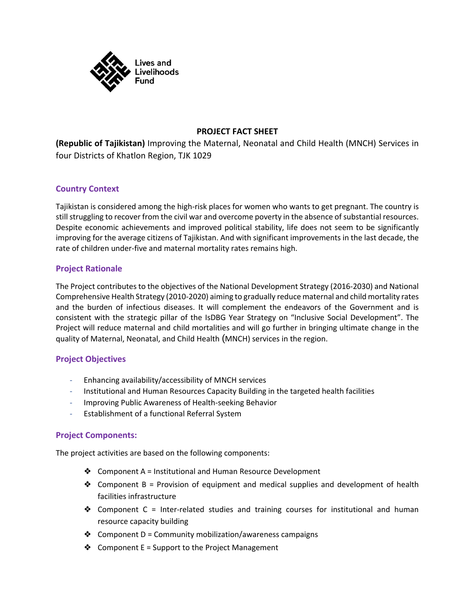

### **PROJECT FACT SHEET**

**(Republic of Tajikistan)** Improving the Maternal, Neonatal and Child Health (MNCH) Services in four Districts of Khatlon Region, TJK 1029

#### **Country Context**

Tajikistan is considered among the high-risk places for women who wants to get pregnant. The country is still struggling to recover from the civil war and overcome poverty in the absence of substantial resources. Despite economic achievements and improved political stability, life does not seem to be significantly improving for the average citizens of Tajikistan. And with significant improvements in the last decade, the rate of children under-five and maternal mortality rates remains high.

#### **Project Rationale**

The Project contributes to the objectives of the National Development Strategy (2016-2030) and National Comprehensive Health Strategy (2010-2020) aiming to gradually reduce maternal and child mortality rates and the burden of infectious diseases. It will complement the endeavors of the Government and is consistent with the strategic pillar of the IsDBG Year Strategy on "Inclusive Social Development". The Project will reduce maternal and child mortalities and will go further in bringing ultimate change in the quality of Maternal, Neonatal, and Child Health (MNCH) services in the region.

#### **Project Objectives**

- Enhancing availability/accessibility of MNCH services
- Institutional and Human Resources Capacity Building in the targeted health facilities
- Improving Public Awareness of Health-seeking Behavior
- Establishment of a functional Referral System

#### **Project Components:**

The project activities are based on the following components:

- ❖ Component A = Institutional and Human Resource Development
- ❖ Component B = Provision of equipment and medical supplies and development of health facilities infrastructure
- ❖ Component C = Inter-related studies and training courses for institutional and human resource capacity building
- $\triangleleft$  Component D = Community mobilization/awareness campaigns
- $\triangleleft$  Component E = Support to the Project Management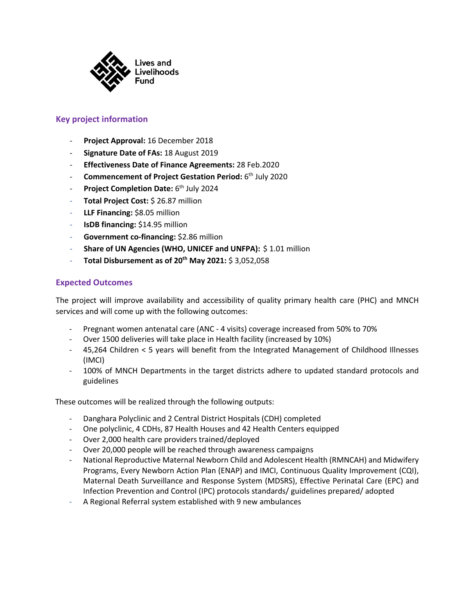

#### **Key project information**

- **Project Approval:** 16 December 2018
- **Signature Date of FAs:** 18 August 2019
- **Effectiveness Date of Finance Agreements:** 28 Feb.2020
- **Commencement of Project Gestation Period:** 6<sup>th</sup> July 2020
- Project Completion Date: 6<sup>th</sup> July 2024
- Total Project Cost: \$ 26.87 million
- **LLF Financing: \$8.05 million**
- **IsDB financing: \$14.95 million**
- Government co-financing: \$2.86 million
- **Share of UN Agencies (WHO, UNICEF and UNFPA):** \$1.01 million
- **Total Disbursement as of 20th May 2021:** \$ 3,052,058

#### **Expected Outcomes**

The project will improve availability and accessibility of quality primary health care (PHC) and MNCH services and will come up with the following outcomes:

- Pregnant women antenatal care (ANC 4 visits) coverage increased from 50% to 70%
- Over 1500 deliveries will take place in Health facility (increased by 10%)
- 45,264 Children < 5 years will benefit from the Integrated Management of Childhood Illnesses (IMCI)
- 100% of MNCH Departments in the target districts adhere to updated standard protocols and guidelines

These outcomes will be realized through the following outputs:

- Danghara Polyclinic and 2 Central District Hospitals (CDH) completed
- One polyclinic, 4 CDHs, 87 Health Houses and 42 Health Centers equipped
- Over 2,000 health care providers trained/deployed
- Over 20,000 people will be reached through awareness campaigns
- National Reproductive Maternal Newborn Child and Adolescent Health (RMNCAH) and Midwifery Programs, Every Newborn Action Plan (ENAP) and IMCI, Continuous Quality Improvement (CQI), Maternal Death Surveillance and Response System (MDSRS), Effective Perinatal Care (EPC) and Infection Prevention and Control (IPC) protocols standards/ guidelines prepared/ adopted
- A Regional Referral system established with 9 new ambulances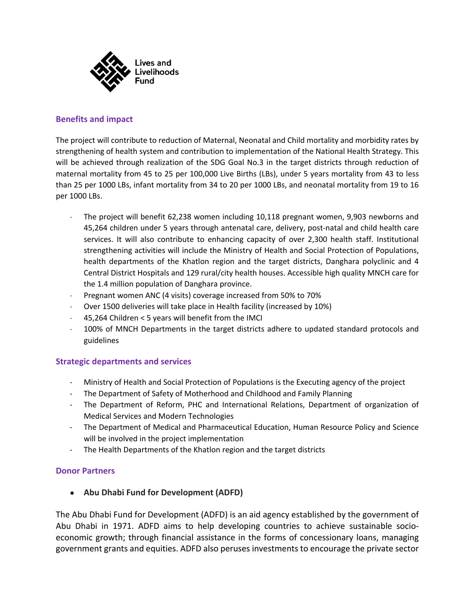

#### **Benefits and impact**

The project will contribute to reduction of Maternal, Neonatal and Child mortality and morbidity rates by strengthening of health system and contribution to implementation of the National Health Strategy. This will be achieved through realization of the SDG Goal No.3 in the target districts through reduction of maternal mortality from 45 to 25 per 100,000 Live Births (LBs), under 5 years mortality from 43 to less than 25 per 1000 LBs, infant mortality from 34 to 20 per 1000 LBs, and neonatal mortality from 19 to 16 per 1000 LBs.

- The project will benefit 62,238 women including 10,118 pregnant women, 9,903 newborns and 45,264 children under 5 years through antenatal care, delivery, post-natal and child health care services. It will also contribute to enhancing capacity of over 2,300 health staff. Institutional strengthening activities will include the Ministry of Health and Social Protection of Populations, health departments of the Khatlon region and the target districts, Danghara polyclinic and 4 Central District Hospitals and 129 rural/city health houses. Accessible high quality MNCH care for the 1.4 million population of Danghara province.
- Pregnant women ANC (4 visits) coverage increased from 50% to 70%
- Over 1500 deliveries will take place in Health facility (increased by 10%)
- 45,264 Children < 5 years will benefit from the IMCI
- 100% of MNCH Departments in the target districts adhere to updated standard protocols and guidelines

#### **Strategic departments and services**

- Ministry of Health and Social Protection of Populations is the Executing agency of the project
- The Department of Safety of Motherhood and Childhood and Family Planning
- The Department of Reform, PHC and International Relations, Department of organization of Medical Services and Modern Technologies
- The Department of Medical and Pharmaceutical Education, Human Resource Policy and Science will be involved in the project implementation
- The Health Departments of the Khatlon region and the target districts

#### **Donor Partners**

● **Abu Dhabi Fund for Development (ADFD)**

The Abu Dhabi Fund for Development (ADFD) is an aid agency established by the government of Abu Dhabi in 1971. ADFD aims to help developing countries to achieve sustainable socioeconomic growth; through financial assistance in the forms of concessionary loans, managing government grants and equities. ADFD also peruses investments to encourage the private sector